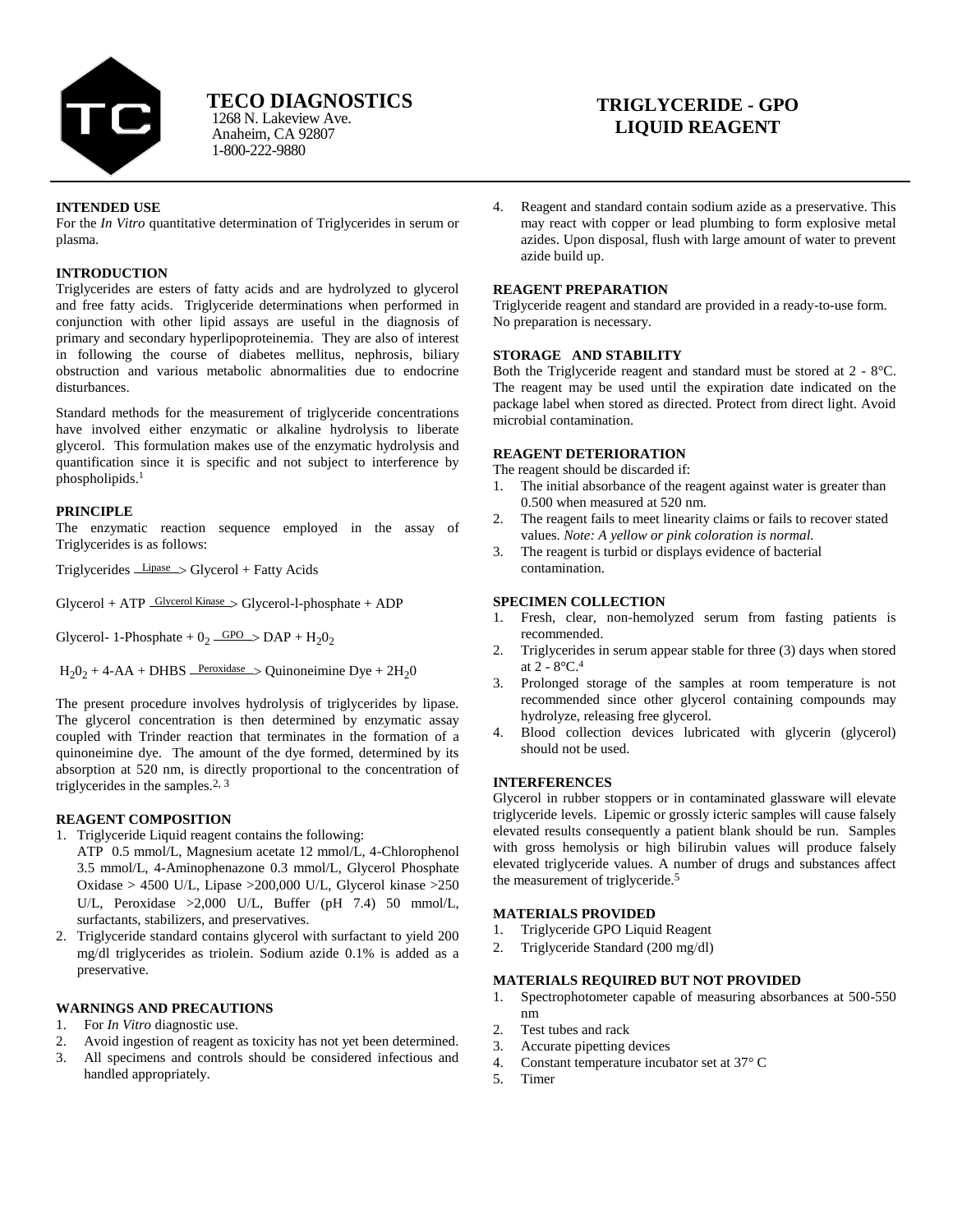

Anaheim, CA 92807 1-800-222-9880

# **TRIGLYCERIDE - GPO LIQUID REAGENT**

## **INTENDED USE**

For the *In Vitro* quantitative determination of Triglycerides in serum or plasma.

# **INTRODUCTION**

Triglycerides are esters of fatty acids and are hydrolyzed to glycerol and free fatty acids. Triglyceride determinations when performed in conjunction with other lipid assays are useful in the diagnosis of primary and secondary hyperlipoproteinemia. They are also of interest in following the course of diabetes mellitus, nephrosis, biliary obstruction and various metabolic abnormalities due to endocrine disturbances.

Standard methods for the measurement of triglyceride concentrations have involved either enzymatic or alkaline hydrolysis to liberate glycerol. This formulation makes use of the enzymatic hydrolysis and quantification since it is specific and not subject to interference by phospholipids. 1

### **PRINCIPLE**

The enzymatic reaction sequence employed in the assay of Triglycerides is as follows:

Triglycerides Lipase Glycerol + Fatty Acids

 $Glycerol + ATP$   $Glycerol$  Kinase  $>$   $Glycerol$ -l-phosphate + ADP

Glycerol- 1-Phosphate +  $0_2$   $\frac{\text{GPO}}{\text{O}}$  > DAP +  $\text{H}_2\text{O}_2$ 

 $H_2O_2 + 4-AA + DHBS$  Peroxidase > Quinoneimine Dye + 2H<sub>2</sub>0

The present procedure involves hydrolysis of triglycerides by lipase. The glycerol concentration is then determined by enzymatic assay coupled with Trinder reaction that terminates in the formation of a quinoneimine dye. The amount of the dye formed, determined by its absorption at 520 nm, is directly proportional to the concentration of triglycerides in the samples.2, 3

### **REAGENT COMPOSITION**

- 1. Triglyceride Liquid reagent contains the following:
- ATP 0.5 mmol/L, Magnesium acetate 12 mmol/L, 4-Chlorophenol 3.5 mmol/L, 4-Aminophenazone 0.3 mmol/L, Glycerol Phosphate Oxidase > 4500 UL, Lipase >200,000 UL, Glycerol kinase >250 UL, Peroxidase >2,000 UL, Buffer (pH 7.4) 50 mmol/L, surfactants, stabilizers, and preservatives.
- 2. Triglyceride standard contains glycerol with surfactant to yield 200 mgdl triglycerides as triolein. Sodium azide 0.1% is added as a preservative.

## **WARNINGS AND PRECAUTIONS**

- 1. For *In Vitro* diagnostic use.
- 2. Avoid ingestion of reagent as toxicity has not yet been determined.
- 3. All specimens and controls should be considered infectious and handled appropriately.

4. Reagent and standard contain sodium azide as a preservative. This may react with copper or lead plumbing to form explosive metal azides. Upon disposal, flush with large amount of water to prevent azide build up.

## **REAGENT PREPARATION**

Triglyceride reagent and standard are provided in a ready-to-use form. No preparation is necessary.

### **STORAGE AND STABILITY**

Both the Triglyceride reagent and standard must be stored at 2 - 8°C. The reagent may be used until the expiration date indicated on the package label when stored as directed. Protect from direct light. Avoid microbial contamination.

# **REAGENT DETERIORATION**

The reagent should be discarded if:

- 1. The initial absorbance of the reagent against water is greater than 0.500 when measured at 520 nm.
- 2. The reagent fails to meet linearity claims or fails to recover stated values. *Note: A yellow or pink coloration is normal.*
- 3. The reagent is turbid or displays evidence of bacterial contamination.

## **SPECIMEN COLLECTION**

- 1. Fresh, clear, non-hemolyzed serum from fasting patients is recommended.
- 2. Triglycerides in serum appear stable for three (3) days when stored at 2 - 8°C. 4
- 3. Prolonged storage of the samples at room temperature is not recommended since other glycerol containing compounds may hydrolyze, releasing free glycerol.
- 4. Blood collection devices lubricated with glycerin (glycerol) should not be used.

## **INTERFERENCES**

Glycerol in rubber stoppers or in contaminated glassware will elevate triglyceride levels. Lipemic or grossly icteric samples will cause falsely elevated results consequently a patient blank should be run. Samples with gross hemolysis or high bilirubin values will produce falsely elevated triglyceride values. A number of drugs and substances affect the measurement of triglyceride.<sup>5</sup>

### **MATERIALS PROVIDED**

- 1. Triglyceride GPO Liquid Reagent
- 2. Triglyceride Standard (200 mg/dl)

## **MATERIALS REQUIRED BUT NOT PROVIDED**

- 1. Spectrophotometer capable of measuring absorbances at 500-550 nm
- 2. Test tubes and rack
- 3. Accurate pipetting devices
- 4. Constant temperature incubator set at 37° C
- 5. Timer